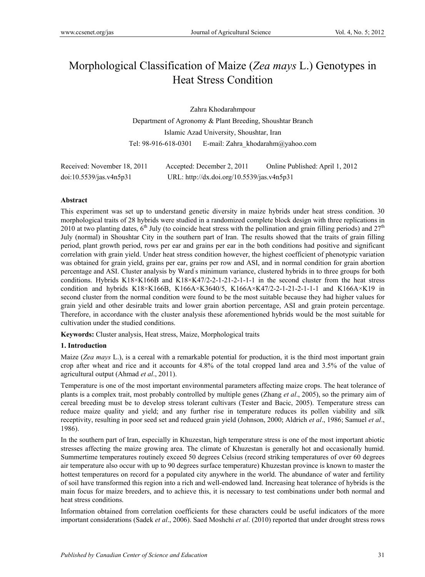# Morphological Classification of Maize (*Zea mays* L.) Genotypes in Heat Stress Condition

 Zahra Khodarahmpour Department of Agronomy & Plant Breeding, Shoushtar Branch Islamic Azad University, Shoushtar, Iran Tel: 98-916-618-0301 E-mail: Zahra\_khodarahm@yahoo.com

| Received: November 18, 2011 | Accepted: December 2, 2011                 | Online Published: April 1, 2012 |
|-----------------------------|--------------------------------------------|---------------------------------|
| doi:10.5539/jas.v4n5p31     | URL: http://dx.doi.org/10.5539/jas.v4n5p31 |                                 |

# **Abstract**

This experiment was set up to understand genetic diversity in maize hybrids under heat stress condition. 30 morphological traits of 28 hybrids were studied in a randomized complete block design with three replications in 2010 at two planting dates,  $6<sup>th</sup>$  July (to coincide heat stress with the pollination and grain filling periods) and  $27<sup>th</sup>$ July (normal) in Shoushtar City in the southern part of Iran. The results showed that the traits of grain filling period, plant growth period, rows per ear and grains per ear in the both conditions had positive and significant correlation with grain yield. Under heat stress condition however, the highest coefficient of phenotypic variation was obtained for grain yield, grains per ear, grains per row and ASI, and in normal condition for grain abortion percentage and ASI. Cluster analysis by Ward' s minimum variance, clustered hybrids in to three groups for both conditions. Hybrids K18×K166B and K18×K47/2-2-1-21-2-1-1-1 in the second cluster from the heat stress condition and hybrids K18×K166B, K166A×K3640/5, K166A×K47/2-2-1-21-2-1-1-1 and K166A×K19 in second cluster from the normal condition were found to be the most suitable because they had higher values for grain yield and other desirable traits and lower grain abortion percentage, ASI and grain protein percentage. Therefore, in accordance with the cluster analysis these aforementioned hybrids would be the most suitable for cultivation under the studied conditions.

**Keywords:** Cluster analysis, Heat stress, Maize, Morphological traits

# **1. Introduction**

Maize (*Zea mays* L.), is a cereal with a remarkable potential for production, it is the third most important grain crop after wheat and rice and it accounts for 4.8% of the total cropped land area and 3.5% of the value of agricultural output (Ahmad *et al*., 2011).

Temperature is one of the most important environmental parameters affecting maize crops. The heat tolerance of plants is a complex trait, most probably controlled by multiple genes (Zhang *et al*., 2005), so the primary aim of cereal breeding must be to develop stress tolerant cultivars (Tester and Bacic, 2005). Temperature stress can reduce maize quality and yield; and any further rise in temperature reduces its pollen viability and silk receptivity, resulting in poor seed set and reduced grain yield (Johnson, 2000; Aldrich *et al*., 1986; Samuel *et al*., 1986).

In the southern part of Iran, especially in Khuzestan, high temperature stress is one of the most important abiotic stresses affecting the maize growing area. The climate of Khuzestan is generally hot and occasionally humid. Summertime temperatures routinely exceed 50 degrees Celsius (record striking temperatures of over 60 degrees air temperature also occur with up to 90 degrees surface temperature) Khuzestan province is known to master the hottest temperatures on record for a populated city anywhere in the world. The abundance of water and fertility of soil have transformed this region into a rich and well-endowed land. Increasing heat tolerance of hybrids is the main focus for maize breeders, and to achieve this, it is necessary to test combinations under both normal and heat stress conditions.

Information obtained from correlation coefficients for these characters could be useful indicators of the more important considerations (Sadek *et al*., 2006). Saed Moshchi *et al*. (2010) reported that under drought stress rows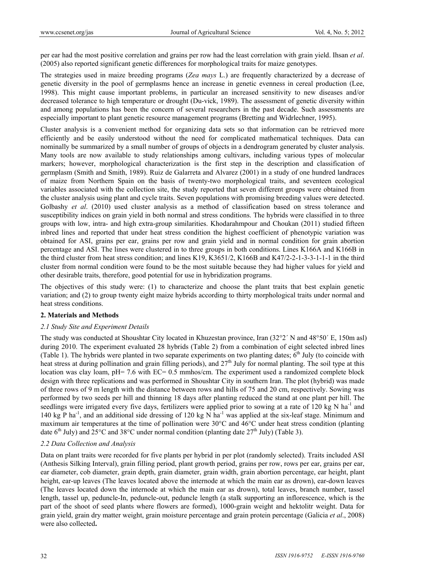per ear had the most positive correlation and grains per row had the least correlation with grain yield. Ihsan *et al*. (2005) also reported significant genetic differences for morphological traits for maize genotypes.

The strategies used in maize breeding programs (*Zea mays* L.) are frequently characterized by a decrease of genetic diversity in the pool of germplasms hence an increase in genetic evenness in cereal production (Lee, 1998). This might cause important problems, in particular an increased sensitivity to new diseases and/or decreased tolerance to high temperature or drought (Du-vick, 1989). The assessment of genetic diversity within and among populations has been the concern of several researchers in the past decade. Such assessments are especially important to plant genetic resource management programs (Bretting and Widrlechner, 1995).

Cluster analysis is a convenient method for organizing data sets so that information can be retrieved more efficiently and be easily understood without the need for complicated mathematical techniques. Data can nominally be summarized by a small number of groups of objects in a dendrogram generated by cluster analysis. Many tools are now available to study relationships among cultivars, including various types of molecular markers; however, morphological characterization is the first step in the description and classification of germplasm (Smith and Smith, 1989). Ruiz de Galarreta and Alvarez (2001) in a study of one hundred landraces of maize from Northern Spain on the basis of twenty-two morphological traits, and seventeen ecological variables associated with the collection site, the study reported that seven different groups were obtained from the cluster analysis using plant and cycle traits. Seven populations with promising breeding values were detected. Golbashy *et al*. (2010) used cluster analysis as a method of classification based on stress tolerance and susceptibility indices on grain yield in both normal and stress conditions. The hybrids were classified in to three groups with low, intra- and high extra-group similarities. Khodarahmpour and Choukan (2011) studied fifteen inbred lines and reported that under heat stress condition the highest coefficient of phenotypic variation was obtained for ASI, grains per ear, grains per row and grain yield and in normal condition for grain abortion percentage and ASI. The lines were clustered in to three groups in both conditions. Lines K166A and K166B in the third cluster from heat stress condition; and lines K19, K3651/2, K166B and K47/2-2-1-3-3-1-1-1 in the third cluster from normal condition were found to be the most suitable because they had higher values for yield and other desirable traits, therefore, good potential for use in hybridization programs.

The objectives of this study were: (1) to characterize and choose the plant traits that best explain genetic variation; and (2) to group twenty eight maize hybrids according to thirty morphological traits under normal and heat stress conditions.

# **2. Materials and Methods**

## *2.1 Study Site and Experiment Details*

The study was conducted at Shoushtar City located in Khuzestan province, Iran (32°2´ N and 48°50´ E, 150m asl) during 2010. The experiment evaluated 28 hybrids (Table 2) from a combination of eight selected inbred lines (Table 1). The hybrids were planted in two separate experiments on two planting dates;  $6<sup>th</sup>$  July (to coincide with heat stress at during pollination and grain filling periods), and  $27<sup>th</sup>$  July for normal planting. The soil type at this location was clay loam, pH= 7.6 with EC= 0.5 mmhos/cm. The experiment used a randomized complete block design with three replications and was performed in Shoushtar City in southern Iran. The plot (hybrid) was made of three rows of 9 m length with the distance between rows and hills of 75 and 20 cm, respectively. Sowing was performed by two seeds per hill and thinning 18 days after planting reduced the stand at one plant per hill. The seedlings were irrigated every five days, fertilizers were applied prior to sowing at a rate of 120 kg N ha<sup>-1</sup> and 140 kg P ha<sup>-1</sup>, and an additional side dressing of 120 kg N ha<sup>-1</sup> was applied at the six-leaf stage. Minimum and maximum air temperatures at the time of pollination were 30°C and 46°C under heat stress condition (planting date  $6<sup>th</sup>$  July) and 25<sup>o</sup>C and 38<sup>o</sup>C under normal condition (planting date 27<sup>th</sup> July) (Table 3).

# *2.2 Data Collection and Analysis*

Data on plant traits were recorded for five plants per hybrid in per plot (randomly selected). Traits included ASI (Anthesis Silking Interval), grain filling period, plant growth period, grains per row, rows per ear, grains per ear, ear diameter, cob diameter, grain depth, grain diameter, grain width, grain abortion percentage, ear height, plant height, ear-up leaves (The leaves located above the internode at which the main ear as drown), ear-down leaves (The leaves located down the internode at which the main ear as drown), total leaves, branch number, tassel length, tassel up, peduncle-In, peduncle-out, peduncle length (a stalk supporting an inflorescence, which is the part of the shoot of seed plants where flowers are formed), 1000-grain weight and hektolitr weight. Data for grain yield, grain dry matter weight, grain moisture percentage and grain protein percentage (Galicia *et al*., 2008) were also collected**.**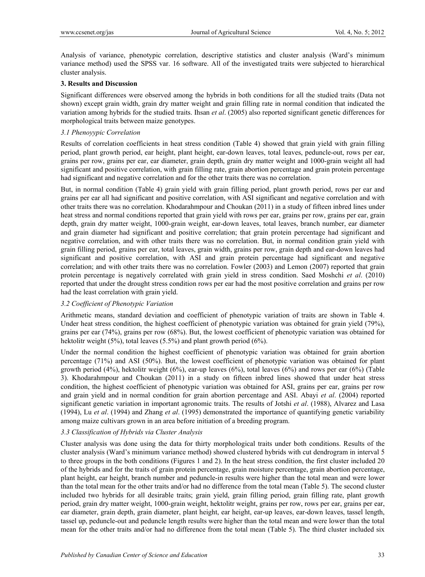Analysis of variance, phenotypic correlation, descriptive statistics and cluster analysis (Ward's minimum variance method) used the SPSS var. 16 software. All of the investigated traits were subjected to hierarchical cluster analysis.

## **3. Results and Discussion**

Significant differences were observed among the hybrids in both conditions for all the studied traits (Data not shown) except grain width, grain dry matter weight and grain filling rate in normal condition that indicated the variation among hybrids for the studied traits. Ihsan *et al*. (2005) also reported significant genetic differences for morphological traits between maize genotypes.

## *3.1 Phenoyypic Correlation*

Results of correlation coefficients in heat stress condition (Table 4) showed that grain yield with grain filling period, plant growth period, ear height, plant height, ear-down leaves, total leaves, peduncle-out, rows per ear, grains per row, grains per ear, ear diameter, grain depth, grain dry matter weight and 1000-grain weight all had significant and positive correlation, with grain filling rate, grain abortion percentage and grain protein percentage had significant and negative correlation and for the other traits there was no correlation.

But, in normal condition (Table 4) grain yield with grain filling period, plant growth period, rows per ear and grains per ear all had significant and positive correlation, with ASI significant and negative correlation and with other traits there was no correlation. Khodarahmpour and Choukan (2011) in a study of fifteen inbred lines under heat stress and normal conditions reported that grain yield with rows per ear, grains per row, grains per ear, grain depth, grain dry matter weight, 1000-grain weight, ear-down leaves, total leaves, branch number, ear diameter and grain diameter had significant and positive correlation; that grain protein percentage had significant and negative correlation, and with other traits there was no correlation. But, in normal condition grain yield with grain filling period, grains per ear, total leaves, grain width, grains per row, grain depth and ear-down leaves had significant and positive correlation, with ASI and grain protein percentage had significant and negative correlation; and with other traits there was no correlation. Fowler (2003) and Lemon (2007) reported that grain protein percentage is negatively correlated with grain yield in stress condition. Saed Moshchi *et al*. (2010) reported that under the drought stress condition rows per ear had the most positive correlation and grains per row had the least correlation with grain yield.

## *3.2 Coefficient of Phenotypic Variation*

Arithmetic means, standard deviation and coefficient of phenotypic variation of traits are shown in Table 4. Under heat stress condition, the highest coefficient of phenotypic variation was obtained for grain yield (79%), grains per ear (74%), grains per row (68%). But, the lowest coefficient of phenotypic variation was obtained for hektolitr weight (5%), total leaves (5.5%) and plant growth period (6%).

Under the normal condition the highest coefficient of phenotypic variation was obtained for grain abortion percentage (71%) and ASI (50%). But, the lowest coefficient of phenotypic variation was obtained for plant growth period  $(4\%)$ , hektolitr weight  $(6\%)$ , ear-up leaves  $(6\%)$ , total leaves  $(6\%)$  and rows per ear  $(6\%)$  (Table 3). Khodarahmpour and Choukan (2011) in a study on fifteen inbred lines showed that under heat stress condition, the highest coefficient of phenotypic variation was obtained for ASI, grains per ear, grains per row and grain yield and in normal condition for grain abortion percentage and ASI. Abayi *et al*. (2004) reported significant genetic variation in important agronomic traits. The results of Jotshi *et al*. (1988), Alvarez and Lasa (1994), Lu *et al*. (1994) and Zhang *et al*. (1995) demonstrated the importance of quantifying genetic variability among maize cultivars grown in an area before initiation of a breeding program.

## *3.3 Classification of Hybrids via Cluster Analysis*

Cluster analysis was done using the data for thirty morphological traits under both conditions. Results of the cluster analysis (Ward's minimum variance method) showed clustered hybrids with cut dendrogram in interval 5 to three groups in the both conditions (Figures 1 and 2). In the heat stress condition, the first cluster included 20 of the hybrids and for the traits of grain protein percentage, grain moisture percentage, grain abortion percentage, plant height, ear height, branch number and peduncle-in results were higher than the total mean and were lower than the total mean for the other traits and/or had no difference from the total mean (Table 5). The second cluster included two hybrids for all desirable traits; grain yield, grain filling period, grain filling rate, plant growth period, grain dry matter weight, 1000-grain weight, hektolitr weight, grains per row, rows per ear, grains per ear, ear diameter, grain depth, grain diameter, plant height, ear height, ear-up leaves, ear-down leaves, tassel length, tassel up, peduncle-out and peduncle length results were higher than the total mean and were lower than the total mean for the other traits and/or had no difference from the total mean (Table 5). The third cluster included six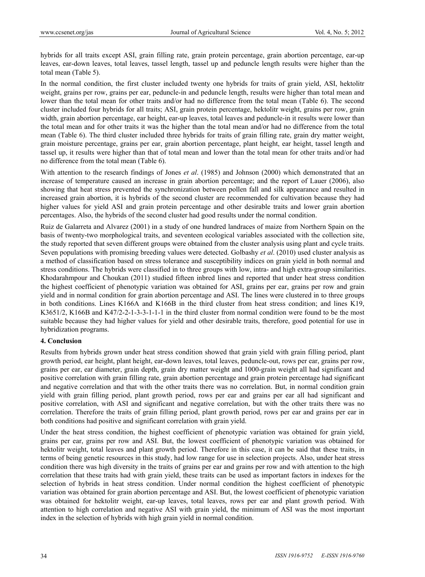hybrids for all traits except ASI, grain filling rate, grain protein percentage, grain abortion percentage, ear-up leaves, ear-down leaves, total leaves, tassel length, tassel up and peduncle length results were higher than the total mean (Table 5).

In the normal condition, the first cluster included twenty one hybrids for traits of grain yield, ASI, hektolitr weight, grains per row, grains per ear, peduncle-in and peduncle length, results were higher than total mean and lower than the total mean for other traits and/or had no difference from the total mean (Table 6). The second cluster included four hybrids for all traits; ASI, grain protein percentage, hektolitr weight, grains per row, grain width, grain abortion percentage, ear height, ear-up leaves, total leaves and peduncle-in it results were lower than the total mean and for other traits it was the higher than the total mean and/or had no difference from the total mean (Table 6). The third cluster included three hybrids for traits of grain filling rate, grain dry matter weight, grain moisture percentage, grains per ear, grain abortion percentage, plant height, ear height, tassel length and tassel up, it results were higher than that of total mean and lower than the total mean for other traits and/or had no difference from the total mean (Table 6).

With attention to the research findings of Jones *et al*. (1985) and Johnson (2000) which demonstrated that an increase of temperature caused an increase in grain abortion percentage; and the report of Lauer (2006), also showing that heat stress prevented the synchronization between pollen fall and silk appearance and resulted in increased grain abortion, it is hybrids of the second cluster are recommended for cultivation because they had higher values for yield ASI and grain protein percentage and other desirable traits and lower grain abortion percentages. Also, the hybrids of the second cluster had good results under the normal condition.

Ruiz de Galarreta and Alvarez (2001) in a study of one hundred landraces of maize from Northern Spain on the basis of twenty-two morphological traits, and seventeen ecological variables associated with the collection site, the study reported that seven different groups were obtained from the cluster analysis using plant and cycle traits. Seven populations with promising breeding values were detected. Golbashy *et al*. (2010) used cluster analysis as a method of classification based on stress tolerance and susceptibility indices on grain yield in both normal and stress conditions. The hybrids were classified in to three groups with low, intra- and high extra-group similarities. Khodarahmpour and Choukan (2011) studied fifteen inbred lines and reported that under heat stress condition the highest coefficient of phenotypic variation was obtained for ASI, grains per ear, grains per row and grain yield and in normal condition for grain abortion percentage and ASI. The lines were clustered in to three groups in both conditions. Lines K166A and K166B in the third cluster from heat stress condition; and lines K19, K3651/2, K166B and K47/2-2-1-3-3-1-1-1 in the third cluster from normal condition were found to be the most suitable because they had higher values for yield and other desirable traits, therefore, good potential for use in hybridization programs.

# **4. Conclusion**

Results from hybrids grown under heat stress condition showed that grain yield with grain filling period, plant growth period, ear height, plant height, ear-down leaves, total leaves, peduncle-out, rows per ear, grains per row, grains per ear, ear diameter, grain depth, grain dry matter weight and 1000-grain weight all had significant and positive correlation with grain filling rate, grain abortion percentage and grain protein percentage had significant and negative correlation and that with the other traits there was no correlation. But, in normal condition grain yield with grain filling period, plant growth period, rows per ear and grains per ear all had significant and positive correlation, with ASI and significant and negative correlation, but with the other traits there was no correlation. Therefore the traits of grain filling period, plant growth period, rows per ear and grains per ear in both conditions had positive and significant correlation with grain yield.

Under the heat stress condition, the highest coefficient of phenotypic variation was obtained for grain yield, grains per ear, grains per row and ASI. But, the lowest coefficient of phenotypic variation was obtained for hektolitr weight, total leaves and plant growth period. Therefore in this case, it can be said that these traits, in terms of being genetic resources in this study, had low range for use in selection projects. Also, under heat stress condition there was high diversity in the traits of grains per ear and grains per row and with attention to the high correlation that these traits had with grain yield, these traits can be used as important factors in indexes for the selection of hybrids in heat stress condition. Under normal condition the highest coefficient of phenotypic variation was obtained for grain abortion percentage and ASI. But, the lowest coefficient of phenotypic variation was obtained for hektolitr weight, ear-up leaves, total leaves, rows per ear and plant growth period. With attention to high correlation and negative ASI with grain yield, the minimum of ASI was the most important index in the selection of hybrids with high grain yield in normal condition.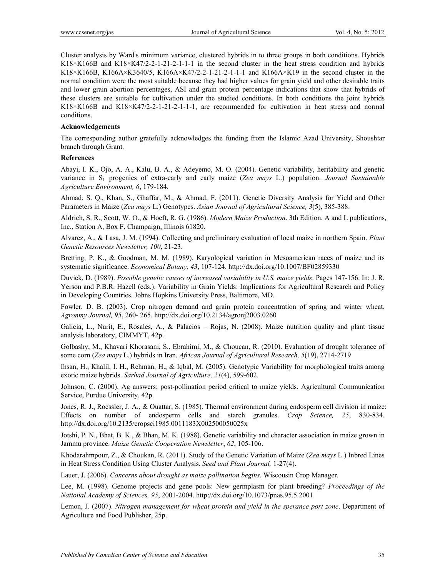Cluster analysis by Ward' s minimum variance, clustered hybrids in to three groups in both conditions. Hybrids K18×K166B and K18×K47/2-2-1-21-2-1-1-1 in the second cluster in the heat stress condition and hybrids K18×K166B, K166A×K3640/5, K166A×K47/2-2-1-21-2-1-1-1 and K166A×K19 in the second cluster in the normal condition were the most suitable because they had higher values for grain yield and other desirable traits and lower grain abortion percentages, ASI and grain protein percentage indications that show that hybrids of these clusters are suitable for cultivation under the studied conditions. In both conditions the joint hybrids K18×K166B and K18×K47/2-2-1-21-2-1-1-1, are recommended for cultivation in heat stress and normal conditions.

# **Acknowledgements**

The corresponding author gratefully acknowledges the funding from the Islamic Azad University, Shoushtar branch through Grant.

# **References**

Abayi, I. K., Ojo, A. A., Kalu, B. A., & Adeyemo, M. O. (2004). Genetic variability, heritability and genetic variance in S1 progenies of extra-early and early maize (*Zea mays* L.) population. *Journal Sustainable Agriculture Environment, 6*, 179-184.

Ahmad, S. Q., Khan, S., Ghaffar, M., & Ahmad, F. (2011). Genetic Diversity Analysis for Yield and Other Parameters in Maize (*Zea mays* L.) Genotypes. *Asian Journal of Agricultural Science, 3*(5), 385-388.

Aldrich, S. R., Scott, W. O., & Hoeft, R. G. (1986). *Modern Maize Production*. 3th Edition, A and L publications, Inc., Station A, Box F, Champaign, Illinois 61820.

Alvarez, A., & Lasa, J. M. (1994). Collecting and preliminary evaluation of local maize in northern Spain. *Plant Genetic Resources Newsletter, 100*, 21-23.

Bretting, P. K., & Goodman, M. M. (1989). Karyological variation in Mesoamerican races of maize and its systematic significance. *Economical Botany, 43*, 107-124. http://dx.doi.org/10.1007/BF02859330

Duvick, D. (1989). *Possible genetic causes of increased variability in U.S. maize yields*. Pages 147-156. In: J. R. Yerson and P.B.R. Hazell (eds.). Variability in Grain Yields: Implications for Agricultural Research and Policy in Developing Countries. Johns Hopkins University Press, Baltimore, MD.

Fowler, D. B. (2003). Crop nitrogen demand and grain protein concentration of spring and winter wheat. *Agronmy Journal, 95*, 260- 265. http://dx.doi.org/10.2134/agronj2003.0260

Galicia, L., Nurit, E., Rosales, A., & Palacios – Rojas, N. (2008). Maize nutrition quality and plant tissue analysis laboratory, CIMMYT, 42p.

Golbashy, M., Khavari Khorasani, S., Ebrahimi, M., & Choucan, R. (2010). Evaluation of drought tolerance of some corn (*Zea mays* L.) hybrids in Iran*. African Journal of Agricultural Research, 5*(19), 2714-2719

Ihsan, H., Khalil, I. H., Rehman, H., & Iqbal, M. (2005). Genotypic Variability for morphological traits among exotic maize hybrids. *Sarhad Journal of Agriculture, 21*(4), 599-602.

Johnson, C. (2000). Ag answers: post-pollination period critical to maize yields. Agricultural Communication Service, Purdue University. 42p.

Jones, R. J., Roessler, J. A., & Ouattar, S. (1985). Thermal environment during endosperm cell division in maize: Effects on number of endosperm cells and starch granules. *Crop Science, 25*, 830-834. http://dx.doi.org/10.2135/cropsci1985.0011183X002500050025x

Jotshi, P. N., Bhat, B. K., & Bhan, M. K. (1988). Genetic variability and character association in maize grown in Jammu province. *Maize Genetic Cooperation Newsletter*, *62*, 105-106.

Khodarahmpour, Z., & Choukan, R. (2011). Study of the Genetic Variation of Maize (*Zea mays* L.) Inbred Lines in Heat Stress Condition Using Cluster Analysis. *Seed and Plant Journal,* 1-27(4).

Lauer, J. (2006). *Concerns about drought as maize pollination begins*. Wiscousin Crop Manager.

Lee, M. (1998). Genome projects and gene pools: New germplasm for plant breeding? *Proceedings of the National Academy of Sciences, 95*, 2001-2004. http://dx.doi.org/10.1073/pnas.95.5.2001

Lemon, J. (2007). *Nitrogen management for wheat protein and yield in the sperance port zone*. Department of Agriculture and Food Publisher, 25p.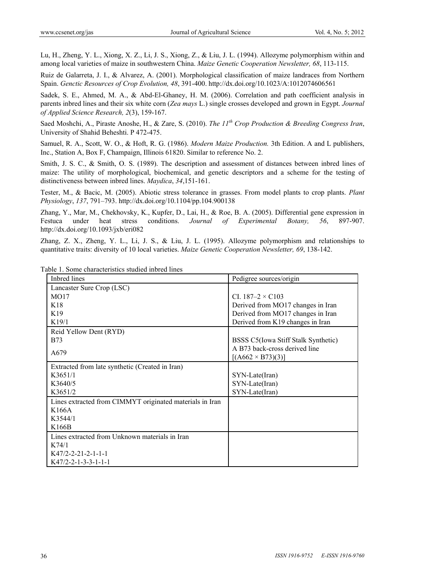Lu, H., Zheng, Y. L., Xiong, X. Z., Li, J. S., Xiong, Z., & Liu, J. L. (1994). Allozyme polymorphism within and among local varieties of maize in southwestern China. *Maize Genetic Cooperation Newsletter, 68*, 113-115.

Ruiz de Galarreta, J. I., & Alvarez, A. (2001). Morphological classification of maize landraces from Northern Spain. *Genctic Resources of Crop Evolution, 48*, 391-400. http://dx.doi.org/10.1023/A:1012074606561

Sadek, S. E., Ahmed, M. A., & Abd-El-Ghaney, H. M. (2006). Correlation and path coefficient analysis in parents inbred lines and their six white corn (*Zea mays* L.) single crosses developed and grown in Egypt. *Journal of Applied Science Research, 2*(3), 159-167.

Saed Moshchi, A., Piraste Anoshe, H., & Zare, S. (2010). *The 11th Crop Production & Breeding Congress Iran*, University of Shahid Beheshti. P 472-475.

Samuel, R. A., Scott, W. O., & Hoft, R. G. (1986). *Modern Maize Production.* 3th Edition. A and L publishers, Inc., Station A, Box F, Champaign, Illinois 61820. Similar to reference No. 2.

Smith, J. S. C., & Smith, O. S. (1989). The description and assessment of distances between inbred lines of maize: The utility of morphological, biochemical, and genetic descriptors and a scheme for the testing of distinctiveness between inbred lines. *Maydica*, *34*,151-161.

Tester, M., & Bacic, M. (2005). Abiotic stress tolerance in grasses. From model plants to crop plants. *Plant Physiology*, *137*, 791–793. http://dx.doi.org/10.1104/pp.104.900138

Zhang, Y., Mar, M., Chekhovsky, K., Kupfer, D., Lai, H., & Roe, B. A. (2005). Differential gene expression in Festuca under heat stress conditions. *Journal of Experimental Botany, 56*, 897-907. http://dx.doi.org/10.1093/jxb/eri082

Zhang, Z. X., Zheng, Y. L., Li, J. S., & Liu, J. L. (1995). Allozyme polymorphism and relationships to quantitative traits: diversity of 10 local varieties. *Maize Genetic Cooperation Newsletter, 69*, 138-142.

| Inbred lines                                             | Pedigree sources/origin             |  |
|----------------------------------------------------------|-------------------------------------|--|
| Lancaster Sure Crop (LSC)                                |                                     |  |
| MO17                                                     | CI. $187-2 \times C103$             |  |
| K18                                                      | Derived from MO17 changes in Iran   |  |
| K <sub>19</sub>                                          | Derived from MO17 changes in Iran   |  |
| K19/1                                                    | Derived from K19 changes in Iran    |  |
| Reid Yellow Dent (RYD)                                   |                                     |  |
| <b>B73</b>                                               | BSSS C5(Iowa Stiff Stalk Synthetic) |  |
| A679                                                     | A B73 back-cross derived line       |  |
|                                                          | $[(A662 \times B73)(3)]$            |  |
| Extracted from late synthetic (Created in Iran)          |                                     |  |
| K3651/1                                                  | SYN-Late(Iran)                      |  |
| K3640/5                                                  | SYN-Late(Iran)                      |  |
| K3651/2                                                  | SYN-Late(Iran)                      |  |
| Lines extracted from CIMMYT originated materials in Iran |                                     |  |
| K166A                                                    |                                     |  |
| K3544/1                                                  |                                     |  |
| K166B                                                    |                                     |  |
| Lines extracted from Unknown materials in Iran           |                                     |  |
| K74/1                                                    |                                     |  |
| $K47/2 - 2 - 21 - 2 - 1 - 1 - 1$                         |                                     |  |
| $K47/2 - 2 - 1 - 3 - 3 - 1 - 1 - 1$                      |                                     |  |

Table 1. Some characteristics studied inbred lines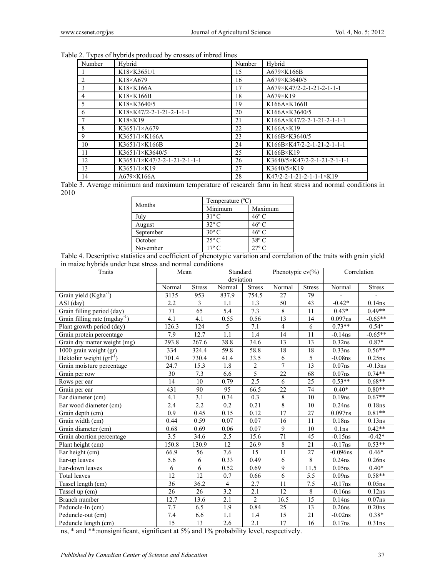| Table 2. Types of hybrids produced by crosses of inbred lines |  |  |
|---------------------------------------------------------------|--|--|
|                                                               |  |  |

| Number         | Hybrid                                          | Number | Hybrid                                            |
|----------------|-------------------------------------------------|--------|---------------------------------------------------|
|                | K18×K3651/1                                     | 15     | A679×K166B                                        |
| 2              | $K18\times A679$                                | 16     | A679×K3640/5                                      |
| 3              | $K18 \times K166A$                              | 17     | A679×K47/2-2-1-21-2-1-1-1                         |
| $\overline{4}$ | $K18 \times K166B$                              | 18     | $A679\times K19$                                  |
| 5              | K18×K3640/5                                     | 19     | $K166A \times K166B$                              |
| 6              | $K18 \times K47/2 - 2 - 1 - 21 - 2 - 1 - 1 - 1$ | 20     | K166A×K3640/5                                     |
|                | $K18\times K19$                                 | 21     | K166A $\times$ K47/2-2-1-21-2-1-1-1               |
| 8              | $K3651/1\times A679$                            | 22     | $K166A \times K19$                                |
| 9              | $K3651/1\times K166A$                           | 23     | K166B×K3640/5                                     |
| 10             | K3651/1×K166B                                   | 24     | $K166B \times K47/2 - 2 - 1 - 21 - 2 - 1 - 1 - 1$ |
| 11             | K3651/1×K3640/5                                 | 25     | $K166B\times K19$                                 |
| 12             | $K3651/1\times K47/2-2-1-21-2-1-1-1$            | 26     | $K3640/5\times K47/2-2-1-21-2-1-1-1$              |
| 13             | $K3651/1\times K19$                             | 27     | K3640/5×K19                                       |
| 14             | A679×K166A                                      | 28     | $K47/2 - 2 - 1 - 21 - 2 - 1 - 1 \times K19$       |

Table 3. Average minimum and maximum temperature of research farm in heat stress and normal conditions in 2010

| Months    | Temperature $(^{\circ}C)$ |                |  |  |
|-----------|---------------------------|----------------|--|--|
|           | Minimum                   | Maximum        |  |  |
| July      | $31^{\circ}$ C            | $46^{\circ}$ C |  |  |
| August    | $32^{\circ}$ C            | $46^{\circ}$ C |  |  |
| September | $30^{\circ}$ C            | $46^{\circ}$ C |  |  |
| October   | $25^{\circ}$ C            | $38^{\circ}$ C |  |  |
| November  | $17^{\circ}$ C            | $27^{\circ}$ C |  |  |

Table 4. Descriptive statistics and coefficient of phenotypic variation and correlation of the traits with grain yield in maize hybrids under heat stress and normal conditions

| Traits                                    | Mean            |               | Standard         |                | Phenotypic $cv(\%)$      |                 |                    | Correlation   |
|-------------------------------------------|-----------------|---------------|------------------|----------------|--------------------------|-----------------|--------------------|---------------|
|                                           |                 |               | deviation        |                |                          |                 |                    |               |
|                                           | Normal          | <b>Stress</b> | Normal           | <b>Stress</b>  | Normal                   | <b>Stress</b>   | Normal             | <b>Stress</b> |
| Grain yield $(Kgha^{-1})$                 | 3135            | 953           | 837.9            | 754.5          | 27                       | 79              |                    |               |
| $ASI$ (day)                               | 2.2             | 3             | 1.1              | 1.3            | $\overline{50}$          | 43              | $-0.42*$           | 0.14ns        |
| Grain filling period (day)                | 71              | 65            | 5.4              | 7.3            | $\,8\,$                  | 11              | $0.43*$            | $0.49**$      |
| Grain filling rate (mgday <sup>-1</sup> ) | 4.1             | 4.1           | 0.55             | 0.56           | 13                       | 14              | $0.097$ ns         | $-0.65**$     |
| Plant growth period (day)                 | 126.3           | 124           | 5                | 7.1            | $\overline{\mathcal{L}}$ | 6               | $0.73**$           | $0.54*$       |
| Grain protein percentage                  | 7.9             | 12.7          | $\overline{1.1}$ | 1.4            | $\overline{14}$          | $\overline{11}$ | $-0.14$ ns         | $-0.65**$     |
| Grain dry matter weight (mg)              | 293.8           | 267.6         | 38.8             | 34.6           | 13                       | 13              | 0.32ns             | $0.87*$       |
| 1000 grain weight (gr)                    | 334             | 324.4         | 59.8             | 58.8           | 18                       | 18              | 0.33ns             | $0.56**$      |
| Hektolitr weight $(\text{grl}^{-1})$      | 701.4           | 730.4         | 41.4             | 33.5           | 6                        | 5               | $-0.08$ ns         | 0.25ns        |
| Grain moisture percentage                 | 24.7            | 15.3          | 1.8              | $\sqrt{2}$     | $\overline{7}$           | 13              | 0.07ns             | $-0.13$ ns    |
| Grain per row                             | 30              | 7.3           | 6.6              | $\overline{5}$ | 22                       | 68              | $0.07$ ns          | $0.74**$      |
| Rows per ear                              | 14              | 10            | 0.79             | 2.5            | 6                        | 25              | $0.53**$           | $0.68**$      |
| Grain per ear                             | 431             | 90            | 95               | 66.5           | $\overline{22}$          | 74              | $0.40*$            | $0.80**$      |
| Ear diameter (cm)                         | 4.1             | 3.1           | 0.34             | 0.3            | $\,8\,$                  | 10              | 0.19ns             | $0.67**$      |
| Ear wood diameter (cm)                    | 2.4             | 2.2           | 0.2              | 0.21           | 8                        | 10              | $0.24$ ns          | 0.18ns        |
| Grain depth (cm)                          | 0.9             | 0.45          | 0.15             | 0.12           | $\overline{17}$          | 27              | $0.097$ ns         | $0.81**$      |
| Grain width (cm)                          | 0.44            | 0.59          | 0.07             | 0.07           | 16                       | 11              | 0.18ns             | 0.13ns        |
| Grain diameter (cm)                       | 0.68            | 0.69          | 0.06             | 0.07           | 9                        | 10              | 0.1 <sub>ns</sub>  | $0.42**$      |
| Grain abortion percentage                 | 3.5             | 34.6          | 2.5              | 15.6           | 71                       | 45              | $-0.15$ ns         | $-0.42*$      |
| Plant height (cm)                         | 150.8           | 130.9         | 12               | 26.9           | 8                        | 21              | $-0.17$ ns         | $0.53**$      |
| Ear height (cm)                           | 66.9            | 56            | 7.6              | 15             | 11                       | 27              | $-0.096$ ns        | $0.46*$       |
| Ear-up leaves                             | 5.6             | 6             | 0.33             | 0.49           | 6                        | 8               | $0.24$ ns          | $0.26$ ns     |
| Ear-down leaves                           | 6               | 6             | 0.52             | 0.69           | 9                        | 11.5            | 0.05ns             | $0.40*$       |
| Total leaves                              | 12              | 12            | 0.7              | 0.66           | 6                        | 5.5             | 0.09 <sub>ns</sub> | $0.58**$      |
| Tassel length (cm)                        | 36              | 36.2          | $\overline{4}$   | 2.7            | 11                       | $7.5\,$         | $-0.17ns$          | 0.05ns        |
| Tassel up (cm)                            | $\overline{26}$ | 26            | 3.2              | 2.1            | 12                       | $\,8\,$         | $-0.16$ ns         | 0.12ns        |
| <b>Branch</b> number                      | 12.7            | 13.6          | 2.1              | $\overline{2}$ | 16.5                     | 15              | 0.14ns             | $0.07$ ns     |
| Peduncle-In (cm)                          | 7.7             | 6.5           | 1.9              | 0.84           | 25                       | 13              | $0.26$ ns          | 0.20ns        |
| Peduncle-out (cm)                         | 7.4             | 6.6           | 1.1              | 1.4            | 15                       | 21              | $-0.02$ ns         | $0.38*$       |
| Peduncle length (cm)                      | 15              | 13            | 2.6              | 2.1            | 17                       | 16              | 0.17ns             | $0.31$ ns     |

ns, \* and \*\*:nonsignificant, significant at 5% and 1% probability level, respectively.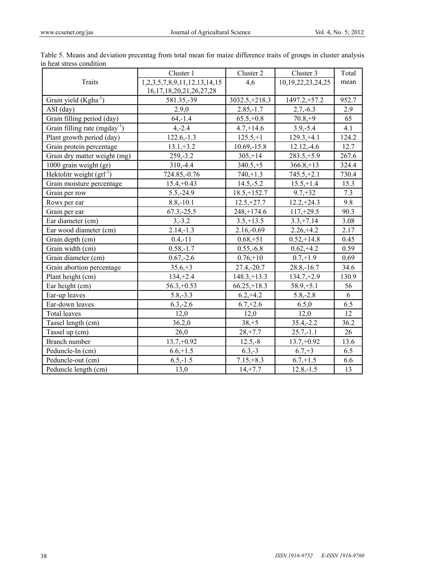|                                           | Cluster 1                      | Cluster 2        | Cluster 3         | Total |
|-------------------------------------------|--------------------------------|------------------|-------------------|-------|
| <b>Traits</b>                             | 1,2,3,5,7,8,9,11,12,13,14,15   | 4,6              | 10,19,22,23,24,25 | mean  |
|                                           | 16, 17, 18, 20, 21, 26, 27, 28 |                  |                   |       |
| Grain yield (Kgha <sup>-1</sup> )         | 581.35,-39                     | $3032.5 + 218.3$ | $1497.2,+57.2$    | 952.7 |
| ASI (day)                                 | 2.9,0                          | $2.85,-1.7$      | $2.7,-6.3$        | 2.9   |
| Grain filling period (day)                | $64, -1.4$                     | $65.5,+0.8$      | $70.8,+9$         | 65    |
| Grain filling rate (mgday <sup>-1</sup> ) | $4, -2.4$                      | $4.7,+14.6$      | $3.9,-5.4$        | 4.1   |
| Plant growth period (day)                 | $122.6,-1.3$                   | $125.5,+1$       | $129.3,+4.1$      | 124.2 |
| Grain protein percentage                  | $13.1,+3.2$                    | $10.69, -15.8$   | $12.12,-4.6$      | 12.7  |
| Grain dry matter weight (mg)              | 259, -3.2                      | $305, +14$       | $283.5,+5.9$      | 267.6 |
| 1000 grain weight (gr)                    | 310,-4.4                       | $340.5,+5$       | $366.8,+13$       | 324.4 |
| Hektolitr weight $(\text{grl}^{-1})$      | 724.85,-0.76                   | $740,+1.3$       | $745.5,+2.1$      | 730.4 |
| Grain moisture percentage                 | $15.4,+0.43$                   | $14.5,-5.2$      | $15.5,+1.4$       | 15.3  |
| Grain per row                             | $5.5, -24.9$                   | $18.5, +152.7$   | $9.7 + 32$        | 7.3   |
| Rows per ear                              | $8.8,-10.1$                    | $12.5, +27.7$    | $12.2,+24.3$      | 9.8   |
| Grain per ear                             | $67.3,-25.5$                   | $248, +174.6$    | $117,+29.5$       | 90.3  |
| Ear diameter (cm)                         | $3, -3.2$                      | $3.5, +13.5$     | $3.3,+7.14$       | 3.08  |
| Ear wood diameter (cm)                    | $2.14,-1.3$                    | $2.16,-0.69$     | $2.26,+4.2$       | 2.17  |
| Grain depth (cm)                          | $0.4,-11$                      | $0.68,+51$       | $0.52,+14.8$      | 0.45  |
| Grain width (cm)                          | $0.58,-1.7$                    | $0.55,-6.8$      | $0.62,+4.2$       | 0.59  |
| Grain diameter (cm)                       | $0.67,-2.6$                    | $0.76,+10$       | $0.7,+1.9$        | 0.69  |
| Grain abortion percentage                 | $35.6,+3$                      | $27.4,-20.7$     | $28.8, -16.7$     | 34.6  |
| Plant height (cm)                         | $134, +2.4$                    | $148.3, +13.3$   | $134.7,+2.9$      | 130.9 |
| Ear height (cm)                           | $56.3, +0.53$                  | $66.25, +18.3$   | $58.9,+5.1$       | 56    |
| Ear-up leaves                             | $5.8,-3.3$                     | $6.2,+4.2$       | $5.8,-2.8$        | 6     |
| Ear-down leaves                           | $6.3,-2.6$                     | $6.7,+2.6$       | 6.5,0             | 6.5   |
| <b>Total leaves</b>                       | 12,0                           | 12,0             | 12,0              | 12    |
| Tassel length (cm)                        | 36.2,0                         | $38, +5$         | $35.4,-2.2$       | 36.2  |
| Tassel up (cm)                            | 26,0                           | $28, +7.7$       | $25.7,-1.1$       | 26    |
| Branch number                             | $13.7,+0.92$                   | $12.5,-8$        | $13.7,+0.92$      | 13.6  |
| Peduncle-In (cm)                          | $6.6,+1.5$                     | $6.3,-3$         | $6.7,+3$          | 6.5   |
| Peduncle-out (cm)                         | $6.5,-1.5$                     | $7.15,+8.3$      | $6.7,+1.5$        | 6.6   |
| Peduncle length (cm)                      | 13,0                           | $14, +7.7$       | $12.8,-1.5$       | 13    |

Table 5. Means and deviation precentag from total mean for maize difference traits of groups in cluster analysis in heat stress condition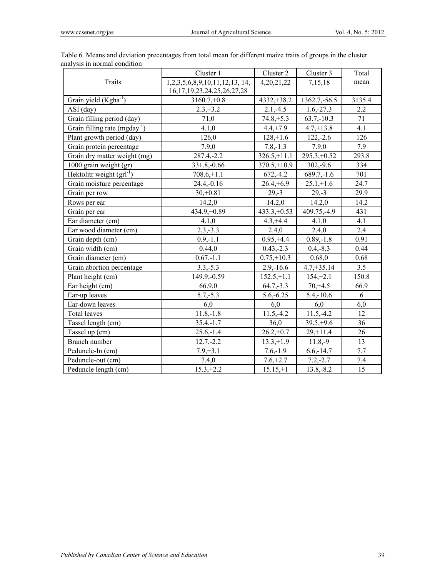|                                           | Cluster 1                          | Cluster 2      | Cluster 3      | Total  |
|-------------------------------------------|------------------------------------|----------------|----------------|--------|
| Traits                                    | 1,2,3,5,6,8,9,10,11,12,13, 14,     | 4, 20, 21, 22  | 7,15,18        | mean   |
|                                           | 16, 17, 19, 23, 24, 25, 26, 27, 28 |                |                |        |
| Grain yield (Kgha <sup>-1</sup> )         | $3160.7,+0.8$                      | $4332,+38.2$   | 1362.7, -56.5  | 3135.4 |
| ASI (day)                                 | $2.3, +3.2$                        | $2.1,-4.5$     | $1.6,-27.3$    | 2.2    |
| Grain filling period (day)                | 71,0                               | $74.8,+5.3$    | $63.7,-10.3$   | 71     |
| Grain filling rate (mgday <sup>-1</sup> ) | 4.1,0                              | $4.4, +7.9$    | $4.7,+13.8$    | 4.1    |
| Plant growth period (day)                 | 126,0                              | $128, +1.6$    | $122,-2.6$     | 126    |
| Grain protein percentage                  | 7.9,0                              | $7.8,-1.3$     | 7.9,0          | 7.9    |
| Grain dry matter weight (mg)              | $287.4,-2.2$                       | $326.5, +11.1$ | $295.3 + 0.52$ | 293.8  |
| 1000 grain weight (gr)                    | 331.8, -0.66                       | $370.5 + 10.9$ | $302,-9.6$     | 334    |
| Hektolitr weight $(grl^{-1})$             | $708.6,+1.1$                       | $672, -4.2$    | $689.7,-1.6$   | 701    |
| Grain moisture percentage                 | $24.4,-0.16$                       | $26.4,+6.9$    | $25.1,+1.6$    | 24.7   |
| Grain per row                             | $30,+0.81$                         | $29,-3$        | $29,-3$        | 29.9   |
| Rows per ear                              | 14.2,0                             | 14.2,0         | 14.2,0         | 14.2   |
| Grain per ear                             | $434.9,+0.89$                      | $433.3,+0.53$  | 409.75, -4.9   | 431    |
| Ear diameter (cm)                         | 4.1,0                              | $4.3, +4.4$    | 4.1,0          | 4.1    |
| Ear wood diameter (cm)                    | $2.3,-3.3$                         | 2.4,0          | 2.4,0          | 2.4    |
| Grain depth (cm)                          | $0.9,-1.1$                         | $0.95,+4.4$    | $0.89,-1.8$    | 0.91   |
| Grain width (cm)                          | 0.44,0                             | $0.43,-2.3$    | $0.4,-8.3$     | 0.44   |
| Grain diameter (cm)                       | $0.67,-1.1$                        | $0.75,+10.3$   | 0.68,0         | 0.68   |
| Grain abortion percentage                 | $3.3, -5.3$                        | $2.9,-16.6$    | $4.7,+35.14$   | 3.5    |
| Plant height (cm)                         | 149.9, -0.59                       | $152.5,+1.1$   | $154, +2.1$    | 150.8  |
| Ear height (cm)                           | 66.9,0                             | $64.7,-3.3$    | $70, +4.5$     | 66.9   |
| Ear-up leaves                             | $5.7,-5.3$                         | $5.6,-6.25$    | $5.4,-10.6$    | 6      |
| Ear-down leaves                           | 6,0                                | 6,0            | 6,0            | 6,0    |
| <b>Total leaves</b>                       | $11.8,-1.8$                        | $11.5,-4.2$    | $11.5, -4.2$   | 12     |
| Tassel length (cm)                        | $35.4,-1.7$                        | 36,0           | $39.5,+9.6$    | 36     |
| Tassel up (cm)                            | $25.6,-1.4$                        | $26.2,+0.7$    | $29, +11.4$    | 26     |
| Branch number                             | $12.7,-2.2$                        | $13.3,+1.9$    | $11.8,-9$      | 13     |
| Peduncle-In (cm)                          | $7.9,+3.1$                         | $7.6,-1.9$     | $6.6, -14.7$   | 7.7    |
| Peduncle-out (cm)                         | 7.4,0                              | $7.6,+2.7$     | $7.2,-2.7$     | 7.4    |
| Peduncle length (cm)                      | $15.3,+2.2$                        | $15.15,+1$     | $13.8,-8.2$    | 15     |

Table 6. Means and deviation precentages from total mean for different maize traits of groups in the cluster analysis in normal condition